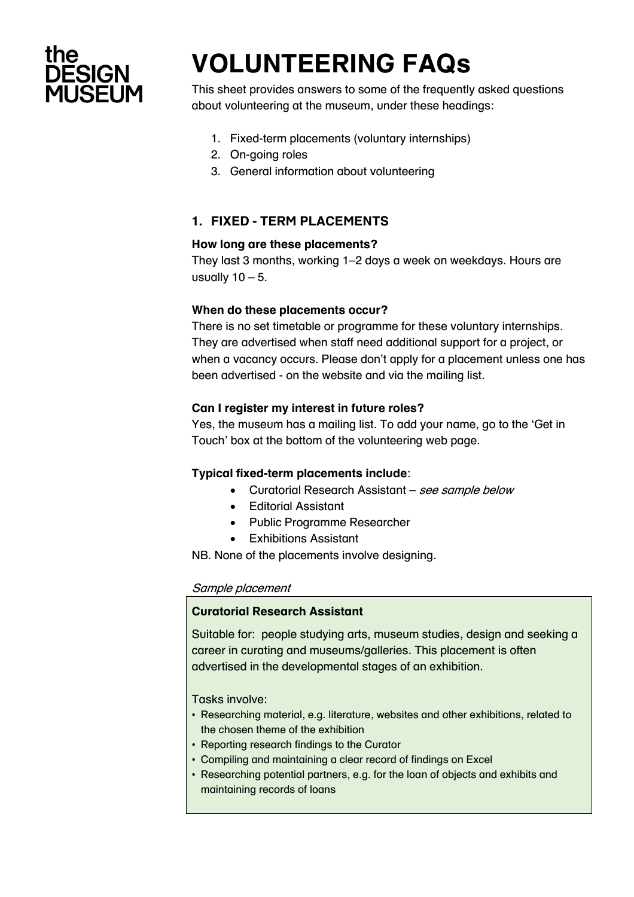

# **VOLUNTEERING FAQs**

This sheet provides answers to some of the frequently asked questions about volunteering at the museum, under these headings:

- 1. Fixed-term placements (voluntary internships)
- 2. On-going roles
- 3. General information about volunteering

# **1. FIXED - TERM PLACEMENTS**

## **How long are these placements?**

They last 3 months, working 1–2 days a week on weekdays. Hours are usually  $10 - 5$ .

## **When do these placements occur?**

There is no set timetable or programme for these voluntary internships. They are advertised when staff need additional support for a project, or when a vacancy occurs. Please don't apply for a placement unless one has been advertised - on the website and via the mailing list.

## **Can I register my interest in future roles?**

Yes, the museum has a mailing list. To add your name, go to the 'Get in Touch' box at the bottom of the volunteering web page.

## **Typical fixed-term placements include**:

- Curatorial Research Assistant see sample below
- Editorial Assistant
- Public Programme Researcher
- Exhibitions Assistant

NB. None of the placements involve designing.

## Sample placement

## **Curatorial Research Assistant**

Suitable for: people studying arts, museum studies, design and seeking a career in curating and museums/galleries. This placement is often advertised in the developmental stages of an exhibition.

Tasks involve:

- Researching material, e.g. literature, websites and other exhibitions, related to the chosen theme of the exhibition
- Reporting research findings to the Curator
- Compiling and maintaining a clear record of findings on Excel
- Researching potential partners, e.g. for the loan of objects and exhibits and maintaining records of loans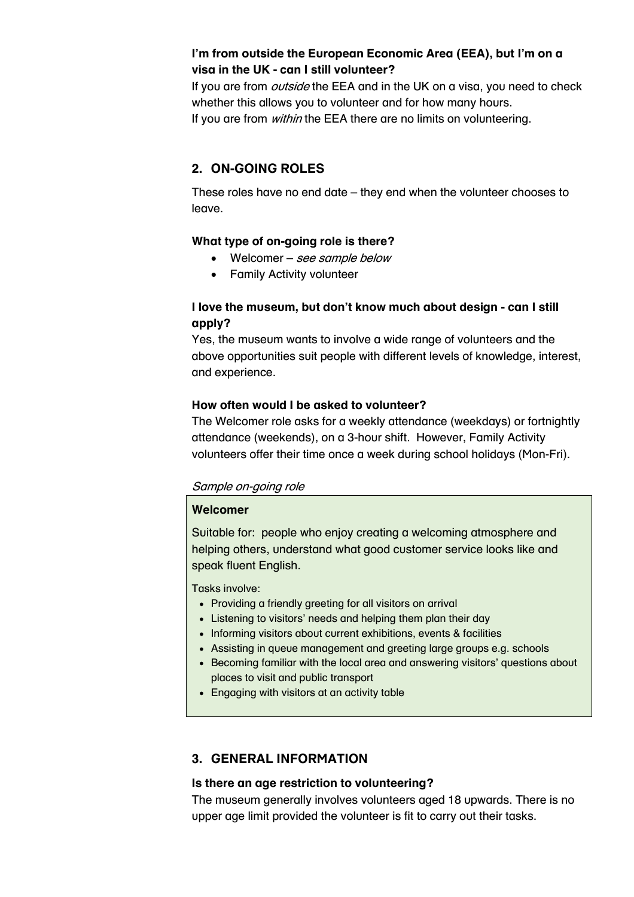## **I'm from outside the European Economic Area (EEA), but I'm on a visa in the UK - can I still volunteer?**

If you are from *outside* the EEA and in the UK on a visa, you need to check whether this allows you to volunteer and for how many hours. If you are from *within* the EEA there are no limits on volunteering.

## **2. ON-GOING ROLES**

These roles have no end date – they end when the volunteer chooses to leave.

## **What type of on-going role is there?**

- Welcomer see sample below
- Family Activity volunteer

## **I love the museum, but don't know much about design - can I still apply?**

Yes, the museum wants to involve a wide range of volunteers and the above opportunities suit people with different levels of knowledge, interest, and experience.

## **How often would I be asked to volunteer?**

The Welcomer role asks for a weekly attendance (weekdays) or fortnightly attendance (weekends), on a 3-hour shift. However, Family Activity volunteers offer their time once a week during school holidays (Mon-Fri).

## Sample on-going role

## **Welcomer**

Suitable for: people who enjoy creating a welcoming atmosphere and helping others, understand what good customer service looks like and speak fluent English.

Tasks involve:

- Providing a friendly greeting for all visitors on arrival
- Listening to visitors' needs and helping them plan their day
- Informing visitors about current exhibitions, events & facilities
- Assisting in queue management and greeting large groups e.g. schools
- Becoming familiar with the local area and answering visitors' questions about places to visit and public transport
- Engaging with visitors at an activity table

# **3. GENERAL INFORMATION**

## **Is there an age restriction to volunteering?**

The museum generally involves volunteers aged 18 upwards. There is no upper age limit provided the volunteer is fit to carry out their tasks.